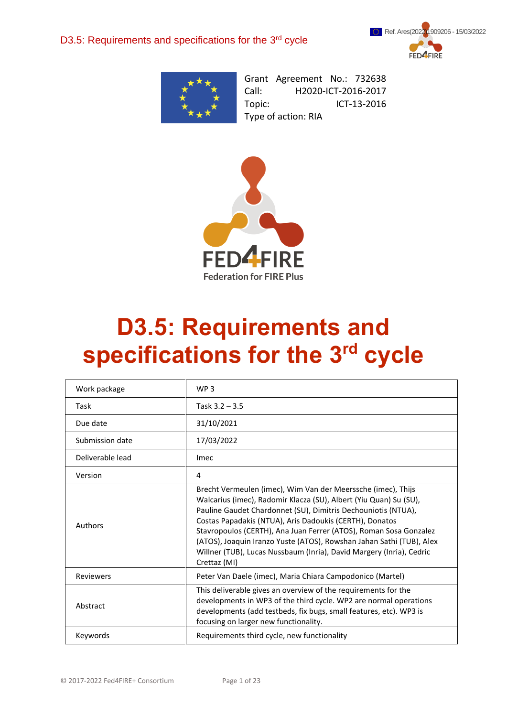



Grant Agreement No.: 732638 Call: H2020-ICT-2016-2017 Topic: ICT-13-2016 Type of action: RIA



# **D3.5: Requirements and specifications for the 3 rd cycle**

| Work package                  | WP <sub>3</sub>                                                                                                                                                                                                                                                                                                                                                                                                                                                                                    |
|-------------------------------|----------------------------------------------------------------------------------------------------------------------------------------------------------------------------------------------------------------------------------------------------------------------------------------------------------------------------------------------------------------------------------------------------------------------------------------------------------------------------------------------------|
| Task                          | Task $3.2 - 3.5$                                                                                                                                                                                                                                                                                                                                                                                                                                                                                   |
| 31/10/2021<br>Due date        |                                                                                                                                                                                                                                                                                                                                                                                                                                                                                                    |
| 17/03/2022<br>Submission date |                                                                                                                                                                                                                                                                                                                                                                                                                                                                                                    |
| Deliverable lead<br>Imec      |                                                                                                                                                                                                                                                                                                                                                                                                                                                                                                    |
| Version                       | 4                                                                                                                                                                                                                                                                                                                                                                                                                                                                                                  |
| Authors                       | Brecht Vermeulen (imec), Wim Van der Meerssche (imec), Thijs<br>Walcarius (imec), Radomir Klacza (SU), Albert (Yiu Quan) Su (SU),<br>Pauline Gaudet Chardonnet (SU), Dimitris Dechouniotis (NTUA),<br>Costas Papadakis (NTUA), Aris Dadoukis (CERTH), Donatos<br>Stavropoulos (CERTH), Ana Juan Ferrer (ATOS), Roman Sosa Gonzalez<br>(ATOS), Joaquin Iranzo Yuste (ATOS), Rowshan Jahan Sathi (TUB), Alex<br>Willner (TUB), Lucas Nussbaum (Inria), David Margery (Inria), Cedric<br>Crettaz (MI) |
| Reviewers                     | Peter Van Daele (imec), Maria Chiara Campodonico (Martel)                                                                                                                                                                                                                                                                                                                                                                                                                                          |
| Abstract                      | This deliverable gives an overview of the requirements for the<br>developments in WP3 of the third cycle. WP2 are normal operations<br>developments (add testbeds, fix bugs, small features, etc). WP3 is<br>focusing on larger new functionality.                                                                                                                                                                                                                                                 |
| Keywords                      | Requirements third cycle, new functionality                                                                                                                                                                                                                                                                                                                                                                                                                                                        |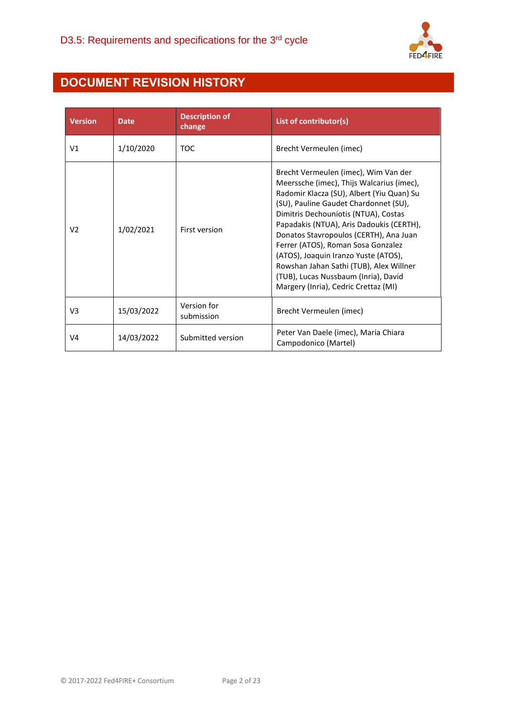

# <span id="page-1-0"></span>**DOCUMENT REVISION HISTORY**

| <b>Version</b> | <b>Date</b> | <b>Description of</b><br>change | List of contributor(s)                                                                                                                                                                                                                                                                                                                                                                                                                                                                                         |
|----------------|-------------|---------------------------------|----------------------------------------------------------------------------------------------------------------------------------------------------------------------------------------------------------------------------------------------------------------------------------------------------------------------------------------------------------------------------------------------------------------------------------------------------------------------------------------------------------------|
| V <sub>1</sub> | 1/10/2020   | <b>TOC</b>                      | Brecht Vermeulen (imec)                                                                                                                                                                                                                                                                                                                                                                                                                                                                                        |
| V <sub>2</sub> | 1/02/2021   | First version                   | Brecht Vermeulen (imec), Wim Van der<br>Meerssche (imec), Thijs Walcarius (imec),<br>Radomir Klacza (SU), Albert (Yiu Quan) Su<br>(SU), Pauline Gaudet Chardonnet (SU),<br>Dimitris Dechouniotis (NTUA), Costas<br>Papadakis (NTUA), Aris Dadoukis (CERTH),<br>Donatos Stavropoulos (CERTH), Ana Juan<br>Ferrer (ATOS), Roman Sosa Gonzalez<br>(ATOS), Joaquin Iranzo Yuste (ATOS),<br>Rowshan Jahan Sathi (TUB), Alex Willner<br>(TUB), Lucas Nussbaum (Inria), David<br>Margery (Inria), Cedric Crettaz (MI) |
| V3             | 15/03/2022  | Version for<br>submission       | Brecht Vermeulen (imec)                                                                                                                                                                                                                                                                                                                                                                                                                                                                                        |
| V <sub>4</sub> | 14/03/2022  | Submitted version               | Peter Van Daele (imec), Maria Chiara<br>Campodonico (Martel)                                                                                                                                                                                                                                                                                                                                                                                                                                                   |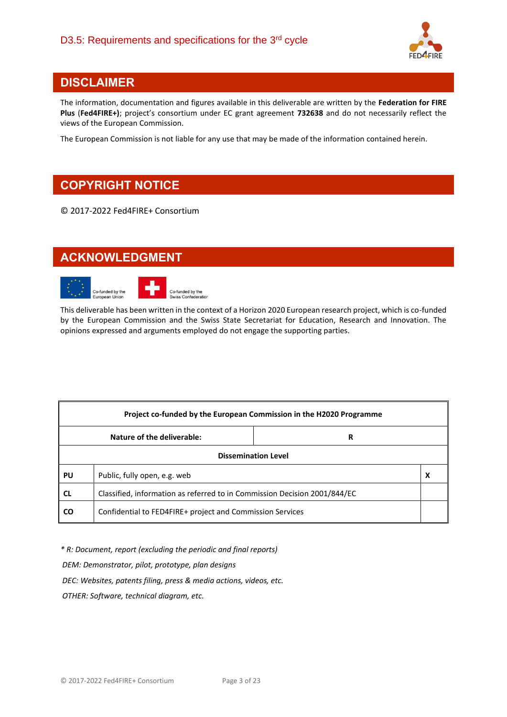

# <span id="page-2-0"></span>**DISCLAIMER**

The information, documentation and figures available in this deliverable are written by the **Federation for FIRE Plus** (**Fed4FIRE+)**; project's consortium under EC grant agreement **732638** and do not necessarily reflect the views of the European Commission.

The European Commission is not liable for any use that may be made of the information contained herein.

# <span id="page-2-1"></span>**COPYRIGHT NOTICE**

© 2017-2022 Fed4FIRE+ Consortium

# <span id="page-2-2"></span>**ACKNOWLEDGMENT**



This deliverable has been written in the context of a Horizon 2020 European research project, which is co-funded by the European Commission and the Swiss State Secretariat for Education, Research and Innovation. The opinions expressed and arguments employed do not engage the supporting parties.

| Project co-funded by the European Commission in the H2020 Programme |                                                                           |  |   |
|---------------------------------------------------------------------|---------------------------------------------------------------------------|--|---|
|                                                                     | Nature of the deliverable:<br>R                                           |  |   |
| <b>Dissemination Level</b>                                          |                                                                           |  |   |
| PU                                                                  | Public, fully open, e.g. web                                              |  | X |
| <b>CL</b>                                                           | Classified, information as referred to in Commission Decision 2001/844/EC |  |   |
| <b>CO</b>                                                           | Confidential to FED4FIRE+ project and Commission Services                 |  |   |

*\* R: Document, report (excluding the periodic and final reports)*

*DEM: Demonstrator, pilot, prototype, plan designs* 

*DEC: Websites, patents filing, press & media actions, videos, etc.*

*OTHER: Software, technical diagram, etc.*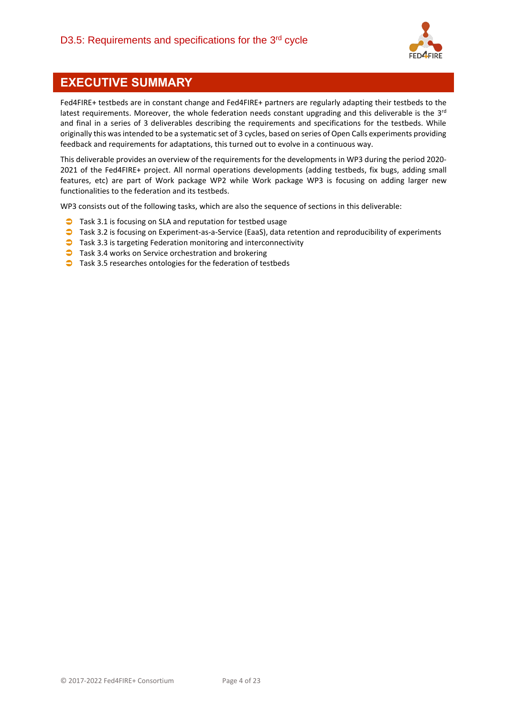

# <span id="page-3-0"></span>**EXECUTIVE SUMMARY**

Fed4FIRE+ testbeds are in constant change and Fed4FIRE+ partners are regularly adapting their testbeds to the latest requirements. Moreover, the whole federation needs constant upgrading and this deliverable is the 3<sup>rd</sup> and final in a series of 3 deliverables describing the requirements and specifications for the testbeds. While originally this was intended to be a systematic set of 3 cycles, based on series of Open Calls experiments providing feedback and requirements for adaptations, this turned out to evolve in a continuous way.

This deliverable provides an overview of the requirements for the developments in WP3 during the period 2020- 2021 of the Fed4FIRE+ project. All normal operations developments (adding testbeds, fix bugs, adding small features, etc) are part of Work package WP2 while Work package WP3 is focusing on adding larger new functionalities to the federation and its testbeds.

WP3 consists out of the following tasks, which are also the sequence of sections in this deliverable:

- **Task 3.1 is focusing on SLA and reputation for testbed usage**
- Task 3.2 is focusing on Experiment-as-a-Service (EaaS), data retention and reproducibility of experiments
- $\bigcirc$  Task 3.3 is targeting Federation monitoring and interconnectivity
- **Task 3.4 works on Service orchestration and brokering**
- **Task 3.5 researches ontologies for the federation of testbeds**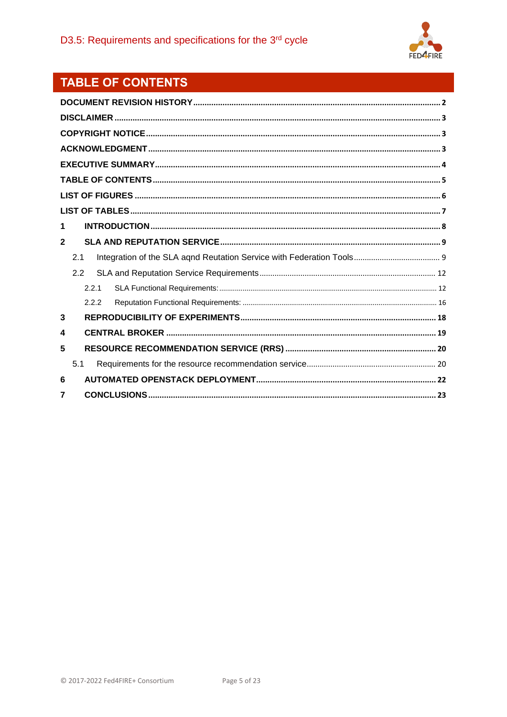

# <span id="page-4-0"></span>TABLE OF CONTENTS

| 1            |       |
|--------------|-------|
| $\mathbf{2}$ |       |
|              | 2.1   |
|              | 2.2   |
|              | 2.2.1 |
|              | 2.2.2 |
| 3            |       |
| 4            |       |
| 5            |       |
|              | 5.1   |
| 6            |       |
| 7            |       |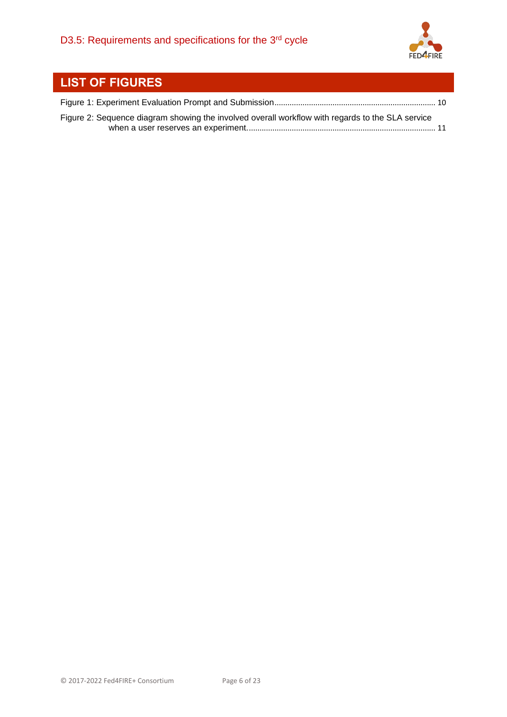

# <span id="page-5-0"></span>**LIST OF FIGURES**

| Figure 2: Sequence diagram showing the involved overall workflow with regards to the SLA service |  |
|--------------------------------------------------------------------------------------------------|--|
|                                                                                                  |  |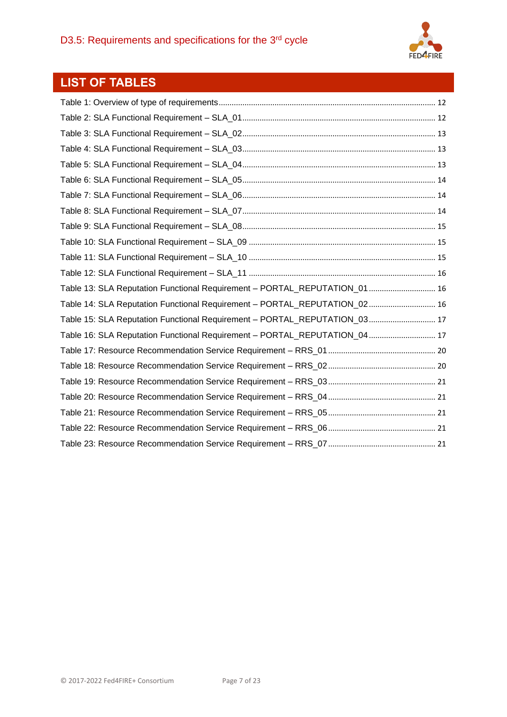

# <span id="page-6-0"></span>**LIST OF TABLES**

| Table 13: SLA Reputation Functional Requirement - PORTAL_REPUTATION_01  16 |  |
|----------------------------------------------------------------------------|--|
| Table 14: SLA Reputation Functional Requirement - PORTAL_REPUTATION_02  16 |  |
| Table 15: SLA Reputation Functional Requirement - PORTAL_REPUTATION_03 17  |  |
| Table 16: SLA Reputation Functional Requirement - PORTAL_REPUTATION_04  17 |  |
|                                                                            |  |
|                                                                            |  |
|                                                                            |  |
|                                                                            |  |
|                                                                            |  |
|                                                                            |  |
|                                                                            |  |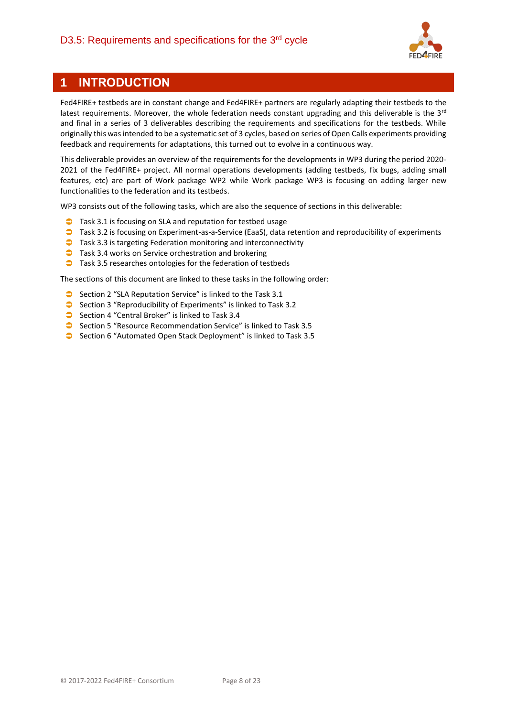

## <span id="page-7-0"></span>**1 INTRODUCTION**

Fed4FIRE+ testbeds are in constant change and Fed4FIRE+ partners are regularly adapting their testbeds to the latest requirements. Moreover, the whole federation needs constant upgrading and this deliverable is the  $3<sup>rd</sup>$ and final in a series of 3 deliverables describing the requirements and specifications for the testbeds. While originally this was intended to be a systematic set of 3 cycles, based on series of Open Calls experiments providing feedback and requirements for adaptations, this turned out to evolve in a continuous way.

This deliverable provides an overview of the requirements for the developments in WP3 during the period 2020- 2021 of the Fed4FIRE+ project. All normal operations developments (adding testbeds, fix bugs, adding small features, etc) are part of Work package WP2 while Work package WP3 is focusing on adding larger new functionalities to the federation and its testbeds.

WP3 consists out of the following tasks, which are also the sequence of sections in this deliverable:

- $\bullet$  Task 3.1 is focusing on SLA and reputation for testbed usage
- Task 3.2 is focusing on Experiment-as-a-Service (EaaS), data retention and reproducibility of experiments
- $\bigcirc$  Task 3.3 is targeting Federation monitoring and interconnectivity
- **Task 3.4 works on Service orchestration and brokering**
- **Task 3.5 researches ontologies for the federation of testbeds**

The sections of this document are linked to these tasks in the following order:

- Section 2 "SLA Reputation Service" is linked to the Task 3.1
- Section 3 "Reproducibility of Experiments" is linked to Task 3.2
- Section 4 "Central Broker" is linked to Task 3.4
- Section 5 "Resource Recommendation Service" is linked to Task 3.5
- Section 6 "Automated Open Stack Deployment" is linked to Task 3.5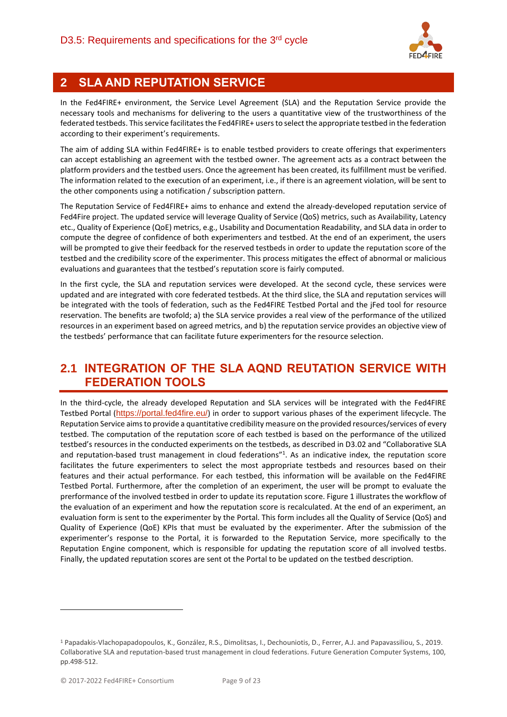

# <span id="page-8-0"></span>**2 SLA AND REPUTATION SERVICE**

In the Fed4FIRE+ environment, the Service Level Agreement (SLA) and the Reputation Service provide the necessary tools and mechanisms for delivering to the users a quantitative view of the trustworthiness of the federated testbeds. This service facilitates the Fed4FIRE+ users to select the appropriate testbed in the federation according to their experiment's requirements.

The aim of adding SLA within Fed4FIRE+ is to enable testbed providers to create offerings that experimenters can accept establishing an agreement with the testbed owner. The agreement acts as a contract between the platform providers and the testbed users. Once the agreement has been created, its fulfillment must be verified. The information related to the execution of an experiment, i.e., if there is an agreement violation, will be sent to the other components using a notification / subscription pattern.

The Reputation Service of Fed4FIRE+ aims to enhance and extend the already-developed reputation service of Fed4Fire project. The updated service will leverage Quality of Service (QoS) metrics, such as Availability, Latency etc., Quality of Experience (QoE) metrics, e.g., Usability and Documentation Readability, and SLA data in order to compute the degree of confidence of both experimenters and testbed. At the end of an experiment, the users will be prompted to give their feedback for the reserved testbeds in order to update the reputation score of the testbed and the credibility score of the experimenter. This process mitigates the effect of abnormal or malicious evaluations and guarantees that the testbed's reputation score is fairly computed.

In the first cycle, the SLA and reputation services were developed. At the second cycle, these services were updated and are integrated with core federated testbeds. At the third slice, the SLA and reputation services will be integrated with the tools of federation, such as the Fed4FIRE Testbed Portal and the jFed tool for resource reservation. The benefits are twofold; a) the SLA service provides a real view of the performance of the utilized resources in an experiment based on agreed metrics, and b) the reputation service provides an objective view of the testbeds' performance that can facilitate future experimenters for the resource selection.

# <span id="page-8-1"></span>**2.1 INTEGRATION OF THE SLA AQND REUTATION SERVICE WITH FEDERATION TOOLS**

In the third-cycle, the already developed Reputation and SLA services will be integrated with the Fed4FIRE Testbed Portal (<https://portal.fed4fire.eu/>) in order to support various phases of the experiment lifecycle. The Reputation Service aims to provide a quantitative credibility measure on the provided resources/services of every testbed. The computation of the reputation score of each testbed is based on the performance of the utilized testbed's resources in the conducted experiments on the testbeds, as described in D3.02 and "Collaborative SLA and reputation-based trust management in cloud federations"<sup>1</sup>. As an indicative index, the reputation score facilitates the future experimenters to select the most appropriate testbeds and resources based on their features and their actual performance. For each testbed, this information will be available on the Fed4FIRE Testbed Portal. Furthermore, after the completion of an experiment, the user will be prompt to evaluate the prerformance of the involved testbed in order to update its reputation score. Figure 1 illustrates the workflow of the evaluation of an experiment and how the reputation score is recalculated. At the end of an experiment, an evaluation form is sent to the experimenter by the Portal. This form includes all the Quality of Service (QoS) and Quality of Experience (QoE) KPIs that must be evaluated by the experimenter. After the submission of the experimenter's response to the Portal, it is forwarded to the Reputation Service, more specifically to the Reputation Engine component, which is responsible for updating the reputation score of all involved testbs. Finally, the updated reputation scores are sent ot the Portal to be updated on the testbed description.

<sup>1</sup> Papadakis-Vlachopapadopoulos, K., González, R.S., Dimolitsas, I., Dechouniotis, D., Ferrer, A.J. and Papavassiliou, S., 2019. Collaborative SLA and reputation-based trust management in cloud federations. Future Generation Computer Systems, 100, pp.498-512.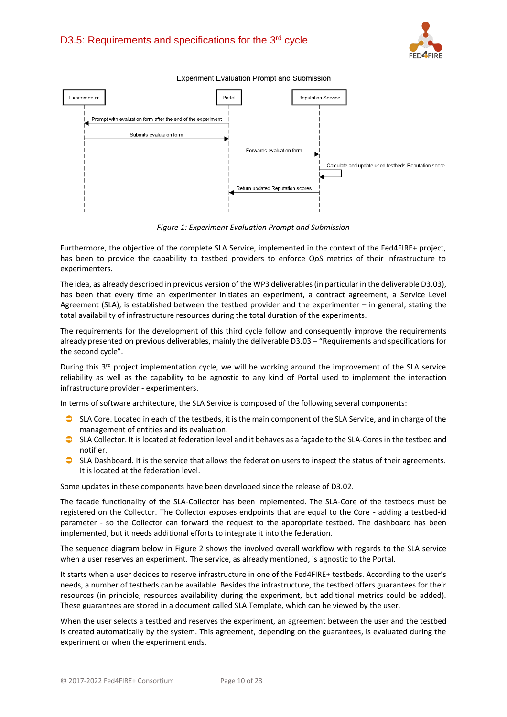



#### Experiment Evaluation Prompt and Submission

*Figure 1: Experiment Evaluation Prompt and Submission*

<span id="page-9-0"></span>Furthermore, the objective of the complete SLA Service, implemented in the context of the Fed4FIRE+ project, has been to provide the capability to testbed providers to enforce QoS metrics of their infrastructure to experimenters.

The idea, as already described in previous version of the WP3 deliverables (in particular in the deliverable D3.03), has been that every time an experimenter initiates an experiment, a contract agreement, a Service Level Agreement (SLA), is established between the testbed provider and the experimenter – in general, stating the total availability of infrastructure resources during the total duration of the experiments.

The requirements for the development of this third cycle follow and consequently improve the requirements already presented on previous deliverables, mainly the deliverable D3.03 – "Requirements and specifications for the second cycle".

During this 3<sup>rd</sup> project implementation cycle, we will be working around the improvement of the SLA service reliability as well as the capability to be agnostic to any kind of Portal used to implement the interaction infrastructure provider - experimenters.

In terms of software architecture, the SLA Service is composed of the following several components:

- SLA Core. Located in each of the testbeds, it is the main component of the SLA Service, and in charge of the management of entities and its evaluation.
- SLA Collector. It is located at federation level and it behaves as a façade to the SLA-Cores in the testbed and notifier.
- SLA Dashboard. It is the service that allows the federation users to inspect the status of their agreements. It is located at the federation level.

Some updates in these components have been developed since the release of D3.02.

The facade functionality of the SLA-Collector has been implemented. The SLA-Core of the testbeds must be registered on the Collector. The Collector exposes endpoints that are equal to the Core - adding a testbed-id parameter - so the Collector can forward the request to the appropriate testbed. The dashboard has been implemented, but it needs additional efforts to integrate it into the federation.

The sequence diagram below in [Figure 2](#page-10-0) shows the involved overall workflow with regards to the SLA service when a user reserves an experiment. The service, as already mentioned, is agnostic to the Portal.

It starts when a user decides to reserve infrastructure in one of the Fed4FIRE+ testbeds. According to the user's needs, a number of testbeds can be available. Besides the infrastructure, the testbed offers guarantees for their resources (in principle, resources availability during the experiment, but additional metrics could be added). These guarantees are stored in a document called SLA Template, which can be viewed by the user.

When the user selects a testbed and reserves the experiment, an agreement between the user and the testbed is created automatically by the system. This agreement, depending on the guarantees, is evaluated during the experiment or when the experiment ends.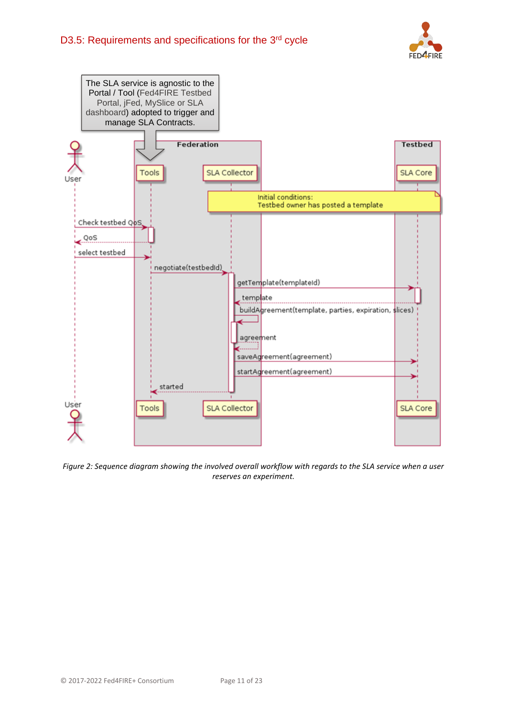## D3.5: Requirements and specifications for the 3<sup>rd</sup> cycle





<span id="page-10-0"></span>*Figure 2: Sequence diagram showing the involved overall workflow with regards to the SLA service when a user reserves an experiment.*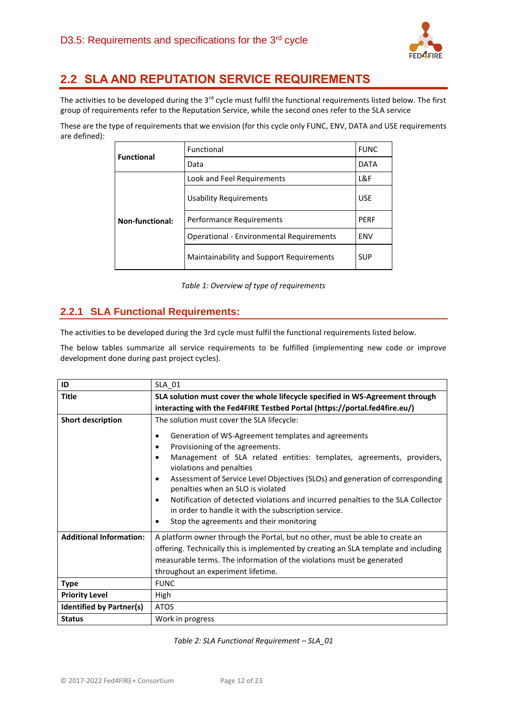

# <span id="page-11-0"></span>**2.2 SLA AND REPUTATION SERVICE REQUIREMENTS**

The activities to be developed during the 3<sup>rd</sup> cycle must fulfil the functional requirements listed below. The first group of requirements refer to the Reputation Service, while the second ones refer to the SLA service

These are the type of requirements that we envision (for this cycle only FUNC, ENV, DATA and USE requirements are defined):

| <b>Functional</b>      | <b>Functional</b>                               | <b>FUNC</b> |
|------------------------|-------------------------------------------------|-------------|
|                        | Data                                            | <b>DATA</b> |
| <b>Non-functional:</b> | Look and Feel Requirements                      | L&F         |
|                        | <b>Usability Requirements</b>                   | <b>USE</b>  |
|                        | Performance Requirements                        | <b>PERF</b> |
|                        | <b>Operational - Environmental Requirements</b> | ENV         |
|                        | Maintainability and Support Requirements        | <b>SUP</b>  |

*Table 1: Overview of type of requirements*

### <span id="page-11-2"></span><span id="page-11-1"></span>**2.2.1 SLA Functional Requirements:**

The activities to be developed during the 3rd cycle must fulfil the functional requirements listed below.

The below tables summarize all service requirements to be fulfilled (implementing new code or improve development done during past project cycles).

| ID                              | <b>SLA 01</b>                                                                                                                                                                                                                                                                                                                                                                               |  |
|---------------------------------|---------------------------------------------------------------------------------------------------------------------------------------------------------------------------------------------------------------------------------------------------------------------------------------------------------------------------------------------------------------------------------------------|--|
| <b>Title</b>                    | SLA solution must cover the whole lifecycle specified in WS-Agreement through                                                                                                                                                                                                                                                                                                               |  |
|                                 | interacting with the Fed4FIRE Testbed Portal (https://portal.fed4fire.eu/)                                                                                                                                                                                                                                                                                                                  |  |
| <b>Short description</b>        | The solution must cover the SLA lifecycle:<br>Generation of WS-Agreement templates and agreements<br>٠<br>Provisioning of the agreements.<br>Management of SLA related entities: templates, agreements, providers,<br>$\bullet$<br>violations and penalties<br>Assessment of Service Level Objectives (SLOs) and generation of corresponding<br>٠<br>penalties when an SLO is violated<br>٠ |  |
|                                 | Notification of detected violations and incurred penalties to the SLA Collector<br>in order to handle it with the subscription service.<br>Stop the agreements and their monitoring                                                                                                                                                                                                         |  |
| <b>Additional Information:</b>  | A platform owner through the Portal, but no other, must be able to create an<br>offering. Technically this is implemented by creating an SLA template and including<br>measurable terms. The information of the violations must be generated<br>throughout an experiment lifetime.                                                                                                          |  |
| <b>Type</b>                     | <b>FUNC</b>                                                                                                                                                                                                                                                                                                                                                                                 |  |
| <b>Priority Level</b>           | High                                                                                                                                                                                                                                                                                                                                                                                        |  |
| <b>Identified by Partner(s)</b> | <b>ATOS</b>                                                                                                                                                                                                                                                                                                                                                                                 |  |
| <b>Status</b>                   | Work in progress                                                                                                                                                                                                                                                                                                                                                                            |  |

<span id="page-11-3"></span>*Table 2: SLA Functional Requirement – SLA\_01*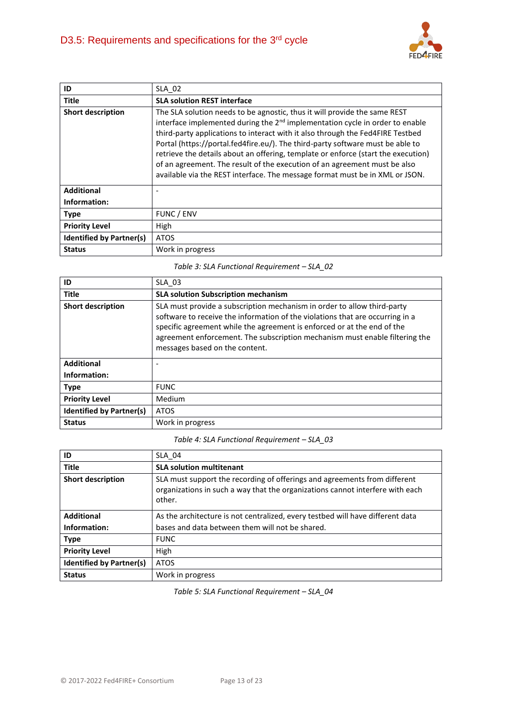

| ID                              | SLA 02                                                                                                                                                                                                                                                                                                                                                                                                                                                                                                                                                                            |
|---------------------------------|-----------------------------------------------------------------------------------------------------------------------------------------------------------------------------------------------------------------------------------------------------------------------------------------------------------------------------------------------------------------------------------------------------------------------------------------------------------------------------------------------------------------------------------------------------------------------------------|
| Title                           | <b>SLA solution REST interface</b>                                                                                                                                                                                                                                                                                                                                                                                                                                                                                                                                                |
| <b>Short description</b>        | The SLA solution needs to be agnostic, thus it will provide the same REST<br>interface implemented during the $2nd$ implementation cycle in order to enable<br>third-party applications to interact with it also through the Fed4FIRE Testbed<br>Portal (https://portal.fed4fire.eu/). The third-party software must be able to<br>retrieve the details about an offering, template or enforce (start the execution)<br>of an agreement. The result of the execution of an agreement must be also<br>available via the REST interface. The message format must be in XML or JSON. |
| <b>Additional</b>               |                                                                                                                                                                                                                                                                                                                                                                                                                                                                                                                                                                                   |
| Information:                    |                                                                                                                                                                                                                                                                                                                                                                                                                                                                                                                                                                                   |
| Type                            | FUNC / ENV                                                                                                                                                                                                                                                                                                                                                                                                                                                                                                                                                                        |
| <b>Priority Level</b>           | High                                                                                                                                                                                                                                                                                                                                                                                                                                                                                                                                                                              |
| <b>Identified by Partner(s)</b> | <b>ATOS</b>                                                                                                                                                                                                                                                                                                                                                                                                                                                                                                                                                                       |
| <b>Status</b>                   | Work in progress                                                                                                                                                                                                                                                                                                                                                                                                                                                                                                                                                                  |

#### *Table 3: SLA Functional Requirement – SLA\_02*

<span id="page-12-0"></span>

| ID                              | <b>SLA 03</b>                                                                                                                                                                                                                                                                                                                                        |
|---------------------------------|------------------------------------------------------------------------------------------------------------------------------------------------------------------------------------------------------------------------------------------------------------------------------------------------------------------------------------------------------|
| <b>Title</b>                    | <b>SLA solution Subscription mechanism</b>                                                                                                                                                                                                                                                                                                           |
| <b>Short description</b>        | SLA must provide a subscription mechanism in order to allow third-party<br>software to receive the information of the violations that are occurring in a<br>specific agreement while the agreement is enforced or at the end of the<br>agreement enforcement. The subscription mechanism must enable filtering the<br>messages based on the content. |
| <b>Additional</b>               |                                                                                                                                                                                                                                                                                                                                                      |
| Information:                    |                                                                                                                                                                                                                                                                                                                                                      |
| <b>Type</b>                     | <b>FUNC</b>                                                                                                                                                                                                                                                                                                                                          |
| <b>Priority Level</b>           | Medium                                                                                                                                                                                                                                                                                                                                               |
| <b>Identified by Partner(s)</b> | <b>ATOS</b>                                                                                                                                                                                                                                                                                                                                          |
| <b>Status</b>                   | Work in progress                                                                                                                                                                                                                                                                                                                                     |

#### *Table 4: SLA Functional Requirement – SLA\_03*

<span id="page-12-1"></span>

| ID                              | <b>SLA 04</b>                                                                                                                                                        |
|---------------------------------|----------------------------------------------------------------------------------------------------------------------------------------------------------------------|
| <b>Title</b>                    | <b>SLA solution multitenant</b>                                                                                                                                      |
| <b>Short description</b>        | SLA must support the recording of offerings and agreements from different<br>organizations in such a way that the organizations cannot interfere with each<br>other. |
| <b>Additional</b>               | As the architecture is not centralized, every testbed will have different data                                                                                       |
| Information:                    | bases and data between them will not be shared.                                                                                                                      |
| <b>Type</b>                     | <b>FUNC</b>                                                                                                                                                          |
| <b>Priority Level</b>           | High                                                                                                                                                                 |
| <b>Identified by Partner(s)</b> | <b>ATOS</b>                                                                                                                                                          |
| <b>Status</b>                   | Work in progress                                                                                                                                                     |

<span id="page-12-2"></span>*Table 5: SLA Functional Requirement – SLA\_04*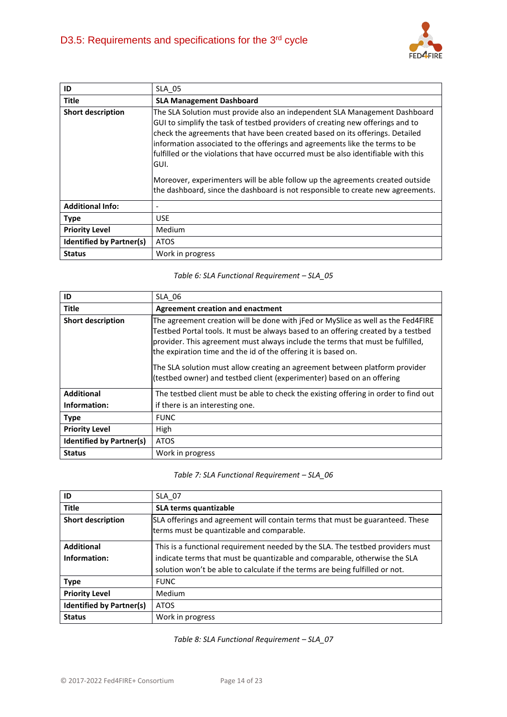

| ID                              | <b>SLA 05</b>                                                                                                                                                                                                                                                                                                                                                                                                                                                                                                                                                                                  |
|---------------------------------|------------------------------------------------------------------------------------------------------------------------------------------------------------------------------------------------------------------------------------------------------------------------------------------------------------------------------------------------------------------------------------------------------------------------------------------------------------------------------------------------------------------------------------------------------------------------------------------------|
| Title                           | <b>SLA Management Dashboard</b>                                                                                                                                                                                                                                                                                                                                                                                                                                                                                                                                                                |
| <b>Short description</b>        | The SLA Solution must provide also an independent SLA Management Dashboard<br>GUI to simplify the task of testbed providers of creating new offerings and to<br>check the agreements that have been created based on its offerings. Detailed<br>information associated to the offerings and agreements like the terms to be<br>Ifulfilled or the violations that have occurred must be also identifiable with this<br>GUI.<br>Moreover, experimenters will be able follow up the agreements created outside<br>the dashboard, since the dashboard is not responsible to create new agreements. |
| <b>Additional Info:</b>         | -                                                                                                                                                                                                                                                                                                                                                                                                                                                                                                                                                                                              |
| <b>Type</b>                     | <b>USE</b>                                                                                                                                                                                                                                                                                                                                                                                                                                                                                                                                                                                     |
| <b>Priority Level</b>           | Medium                                                                                                                                                                                                                                                                                                                                                                                                                                                                                                                                                                                         |
| <b>Identified by Partner(s)</b> | <b>ATOS</b>                                                                                                                                                                                                                                                                                                                                                                                                                                                                                                                                                                                    |
| <b>Status</b>                   | Work in progress                                                                                                                                                                                                                                                                                                                                                                                                                                                                                                                                                                               |

#### *Table 6: SLA Functional Requirement – SLA\_05*

<span id="page-13-0"></span>

| ID                              | SLA 06                                                                                                                                                                                                                                                                                                                                                                                                                                                                             |
|---------------------------------|------------------------------------------------------------------------------------------------------------------------------------------------------------------------------------------------------------------------------------------------------------------------------------------------------------------------------------------------------------------------------------------------------------------------------------------------------------------------------------|
| Title                           | <b>Agreement creation and enactment</b>                                                                                                                                                                                                                                                                                                                                                                                                                                            |
| <b>Short description</b>        | The agreement creation will be done with jFed or MySlice as well as the Fed4FIRE<br>Testbed Portal tools. It must be always based to an offering created by a testbed<br>provider. This agreement must always include the terms that must be fulfilled,<br>the expiration time and the id of the offering it is based on.<br>The SLA solution must allow creating an agreement between platform provider<br>(testbed owner) and testbed client (experimenter) based on an offering |
| <b>Additional</b>               | The testbed client must be able to check the existing offering in order to find out                                                                                                                                                                                                                                                                                                                                                                                                |
| Information:                    | if there is an interesting one.                                                                                                                                                                                                                                                                                                                                                                                                                                                    |
| <b>Type</b>                     | <b>FUNC</b>                                                                                                                                                                                                                                                                                                                                                                                                                                                                        |
| <b>Priority Level</b>           | High                                                                                                                                                                                                                                                                                                                                                                                                                                                                               |
| <b>Identified by Partner(s)</b> | <b>ATOS</b>                                                                                                                                                                                                                                                                                                                                                                                                                                                                        |
| <b>Status</b>                   | Work in progress                                                                                                                                                                                                                                                                                                                                                                                                                                                                   |

#### *Table 7: SLA Functional Requirement – SLA\_06*

<span id="page-13-1"></span>

| ID                              | <b>SLA 07</b>                                                                                                              |
|---------------------------------|----------------------------------------------------------------------------------------------------------------------------|
| <b>Title</b>                    | SLA terms quantizable                                                                                                      |
| <b>Short description</b>        | SLA offerings and agreement will contain terms that must be guaranteed. These<br>terms must be quantizable and comparable. |
| <b>Additional</b>               | This is a functional requirement needed by the SLA. The testbed providers must                                             |
| Information:                    | indicate terms that must be quantizable and comparable, otherwise the SLA                                                  |
|                                 | solution won't be able to calculate if the terms are being fulfilled or not.                                               |
| <b>Type</b>                     | <b>FUNC</b>                                                                                                                |
| <b>Priority Level</b>           | Medium                                                                                                                     |
| <b>Identified by Partner(s)</b> | <b>ATOS</b>                                                                                                                |
| <b>Status</b>                   | Work in progress                                                                                                           |

<span id="page-13-2"></span>*Table 8: SLA Functional Requirement – SLA\_07*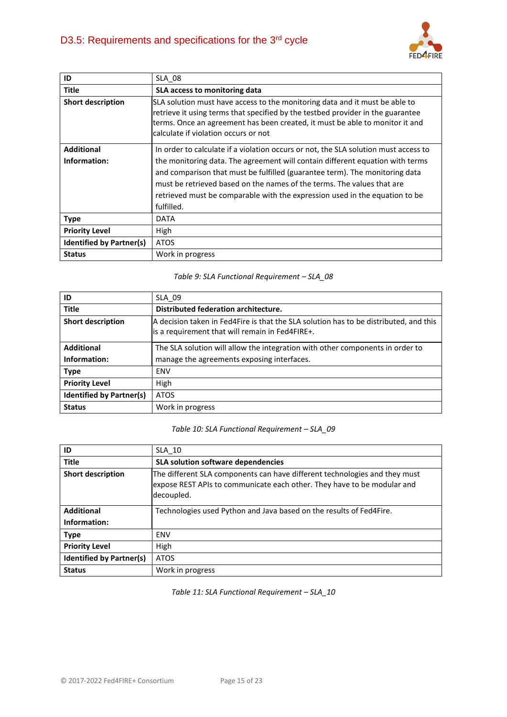

| ID                              | <b>SLA 08</b>                                                                                                                                                                                                                                                                                                                       |
|---------------------------------|-------------------------------------------------------------------------------------------------------------------------------------------------------------------------------------------------------------------------------------------------------------------------------------------------------------------------------------|
| Title                           | SLA access to monitoring data                                                                                                                                                                                                                                                                                                       |
| <b>Short description</b>        | SLA solution must have access to the monitoring data and it must be able to<br>retrieve it using terms that specified by the testbed provider in the guarantee<br>terms. Once an agreement has been created, it must be able to monitor it and<br>calculate if violation occurs or not                                              |
| <b>Additional</b>               | In order to calculate if a violation occurs or not, the SLA solution must access to                                                                                                                                                                                                                                                 |
| Information:                    | the monitoring data. The agreement will contain different equation with terms<br>and comparison that must be fulfilled (guarantee term). The monitoring data<br>must be retrieved based on the names of the terms. The values that are<br>retrieved must be comparable with the expression used in the equation to be<br>fulfilled. |
| <b>Type</b>                     | <b>DATA</b>                                                                                                                                                                                                                                                                                                                         |
| <b>Priority Level</b>           | High                                                                                                                                                                                                                                                                                                                                |
| <b>Identified by Partner(s)</b> | <b>ATOS</b>                                                                                                                                                                                                                                                                                                                         |
| <b>Status</b>                   | Work in progress                                                                                                                                                                                                                                                                                                                    |

#### *Table 9: SLA Functional Requirement – SLA\_08*

<span id="page-14-0"></span>

| ID                              | <b>SLA 09</b>                                                                                                                            |
|---------------------------------|------------------------------------------------------------------------------------------------------------------------------------------|
| <b>Title</b>                    | Distributed federation architecture.                                                                                                     |
| <b>Short description</b>        | A decision taken in Fed4Fire is that the SLA solution has to be distributed, and this<br>is a requirement that will remain in Fed4FIRE+. |
| <b>Additional</b>               | The SLA solution will allow the integration with other components in order to                                                            |
| Information:                    | manage the agreements exposing interfaces.                                                                                               |
| <b>Type</b>                     | ENV                                                                                                                                      |
| <b>Priority Level</b>           | High                                                                                                                                     |
| <b>Identified by Partner(s)</b> | <b>ATOS</b>                                                                                                                              |
| <b>Status</b>                   | Work in progress                                                                                                                         |

#### *Table 10: SLA Functional Requirement – SLA\_09*

<span id="page-14-1"></span>

| ID                              | SLA 10                                                                                                                                                              |
|---------------------------------|---------------------------------------------------------------------------------------------------------------------------------------------------------------------|
| <b>Title</b>                    | SLA solution software dependencies                                                                                                                                  |
| <b>Short description</b>        | The different SLA components can have different technologies and they must<br>expose REST APIs to communicate each other. They have to be modular and<br>decoupled. |
| <b>Additional</b>               | Technologies used Python and Java based on the results of Fed4Fire.                                                                                                 |
| Information:                    |                                                                                                                                                                     |
| <b>Type</b>                     | <b>ENV</b>                                                                                                                                                          |
| <b>Priority Level</b>           | High                                                                                                                                                                |
| <b>Identified by Partner(s)</b> | <b>ATOS</b>                                                                                                                                                         |
| <b>Status</b>                   | Work in progress                                                                                                                                                    |

<span id="page-14-2"></span>*Table 11: SLA Functional Requirement – SLA\_10*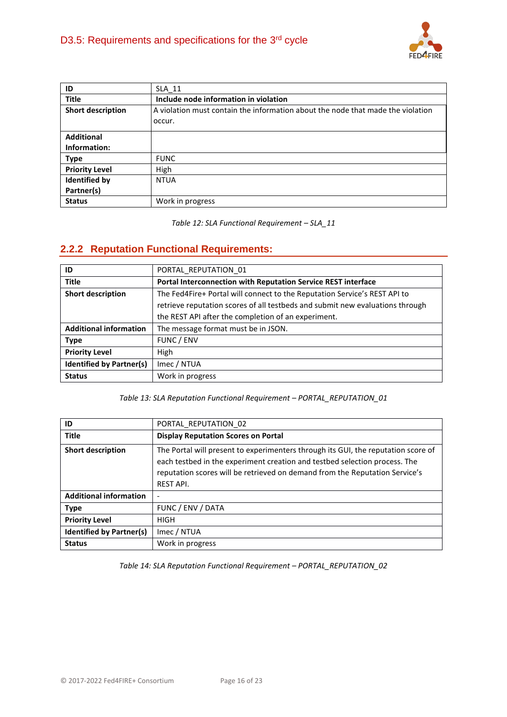

| ID                       | SLA 11                                                                          |
|--------------------------|---------------------------------------------------------------------------------|
| <b>Title</b>             | Include node information in violation                                           |
| <b>Short description</b> | A violation must contain the information about the node that made the violation |
|                          | occur.                                                                          |
| <b>Additional</b>        |                                                                                 |
| Information:             |                                                                                 |
| <b>Type</b>              | <b>FUNC</b>                                                                     |
| <b>Priority Level</b>    | High                                                                            |
| <b>Identified by</b>     | <b>NTUA</b>                                                                     |
| Partner(s)               |                                                                                 |
| <b>Status</b>            | Work in progress                                                                |

*Table 12: SLA Functional Requirement – SLA\_11*

# <span id="page-15-1"></span><span id="page-15-0"></span>**2.2.2 Reputation Functional Requirements:**

| ID                              | PORTAL REPUTATION 01                                                          |
|---------------------------------|-------------------------------------------------------------------------------|
| <b>Title</b>                    | Portal Interconnection with Reputation Service REST interface                 |
| <b>Short description</b>        | The Fed4Fire+ Portal will connect to the Reputation Service's REST API to     |
|                                 | retrieve reputation scores of all testbeds and submit new evaluations through |
|                                 | the REST API after the completion of an experiment.                           |
| <b>Additional information</b>   | The message format must be in JSON.                                           |
| <b>Type</b>                     | FUNC / ENV                                                                    |
| <b>Priority Level</b>           | High                                                                          |
| <b>Identified by Partner(s)</b> | Imec / NTUA                                                                   |
| <b>Status</b>                   | Work in progress                                                              |

*Table 13: SLA Reputation Functional Requirement – PORTAL\_REPUTATION\_01*

<span id="page-15-2"></span>

| ID                              | PORTAL_REPUTATION_02                                                                                                                                                                                                                                               |
|---------------------------------|--------------------------------------------------------------------------------------------------------------------------------------------------------------------------------------------------------------------------------------------------------------------|
| <b>Title</b>                    | <b>Display Reputation Scores on Portal</b>                                                                                                                                                                                                                         |
| <b>Short description</b>        | The Portal will present to experimenters through its GUI, the reputation score of<br>each testbed in the experiment creation and testbed selection process. The<br>reputation scores will be retrieved on demand from the Reputation Service's<br><b>REST API.</b> |
| <b>Additional information</b>   |                                                                                                                                                                                                                                                                    |
| <b>Type</b>                     | FUNC / ENV / DATA                                                                                                                                                                                                                                                  |
| <b>Priority Level</b>           | <b>HIGH</b>                                                                                                                                                                                                                                                        |
| <b>Identified by Partner(s)</b> | Imec / NTUA                                                                                                                                                                                                                                                        |
| <b>Status</b>                   | Work in progress                                                                                                                                                                                                                                                   |

<span id="page-15-3"></span>*Table 14: SLA Reputation Functional Requirement – PORTAL\_REPUTATION\_02*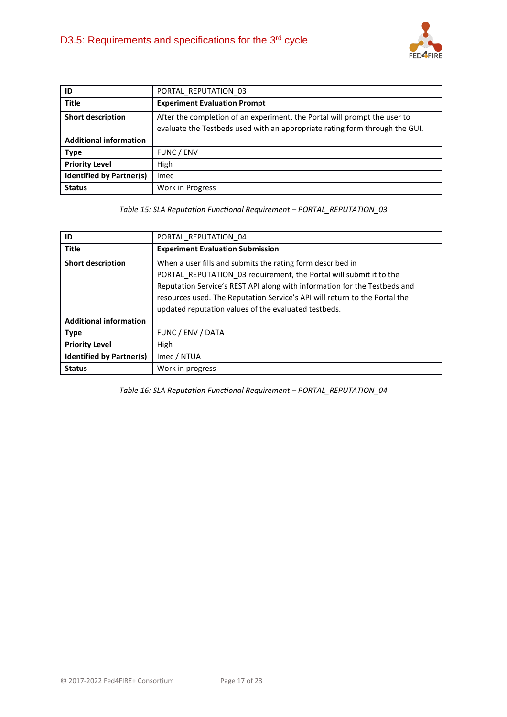

| ID                              | PORTAL_REPUTATION_03                                                        |
|---------------------------------|-----------------------------------------------------------------------------|
| <b>Title</b>                    | <b>Experiment Evaluation Prompt</b>                                         |
| <b>Short description</b>        | After the completion of an experiment, the Portal will prompt the user to   |
|                                 | evaluate the Testbeds used with an appropriate rating form through the GUI. |
| <b>Additional information</b>   |                                                                             |
| <b>Type</b>                     | FUNC / ENV                                                                  |
| <b>Priority Level</b>           | High                                                                        |
| <b>Identified by Partner(s)</b> | <b>Imec</b>                                                                 |
| <b>Status</b>                   | Work in Progress                                                            |

*Table 15: SLA Reputation Functional Requirement – PORTAL\_REPUTATION\_03*

<span id="page-16-0"></span>

| ID                              | PORTAL REPUTATION 04                                                                                                                                                                                                                                                                                                                                |
|---------------------------------|-----------------------------------------------------------------------------------------------------------------------------------------------------------------------------------------------------------------------------------------------------------------------------------------------------------------------------------------------------|
| <b>Title</b>                    | <b>Experiment Evaluation Submission</b>                                                                                                                                                                                                                                                                                                             |
| <b>Short description</b>        | When a user fills and submits the rating form described in<br>PORTAL REPUTATION 03 requirement, the Portal will submit it to the<br>Reputation Service's REST API along with information for the Testbeds and<br>resources used. The Reputation Service's API will return to the Portal the<br>updated reputation values of the evaluated testbeds. |
| <b>Additional information</b>   |                                                                                                                                                                                                                                                                                                                                                     |
| <b>Type</b>                     | FUNC / ENV / DATA                                                                                                                                                                                                                                                                                                                                   |
| <b>Priority Level</b>           | High                                                                                                                                                                                                                                                                                                                                                |
| <b>Identified by Partner(s)</b> | Imec / NTUA                                                                                                                                                                                                                                                                                                                                         |
| <b>Status</b>                   | Work in progress                                                                                                                                                                                                                                                                                                                                    |

<span id="page-16-1"></span>*Table 16: SLA Reputation Functional Requirement – PORTAL\_REPUTATION\_04*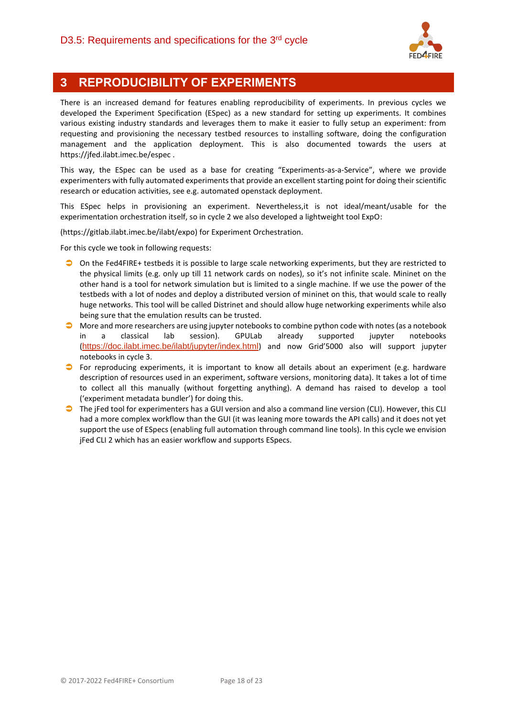

## <span id="page-17-0"></span>**3 REPRODUCIBILITY OF EXPERIMENTS**

There is an increased demand for features enabling reproducibility of experiments. In previous cycles we developed the Experiment Specification (ESpec) as a new standard for setting up experiments. It combines various existing industry standards and leverages them to make it easier to fully setup an experiment: from requesting and provisioning the necessary testbed resources to installing software, doing the configuration management and the application deployment. This is also documented towards the users at <https://jfed.ilabt.imec.be/espec> .

This way, the ESpec can be used as a base for creating "Experiments-as-a-Service", where we provide experimenters with fully automated experiments that provide an excellent starting point for doing their scientific research or education activities, see e.g. automated openstack deployment.

This ESpec helps in provisioning an experiment. Nevertheless,it is not ideal/meant/usable for the experimentation orchestration itself, so in cycle 2 we also developed a lightweight tool ExpO:

[\(https://gitlab.ilabt.imec.be/ilabt/expo\)](https://gitlab.ilabt.imec.be/ilabt/expo) for Experiment Orchestration.

For this cycle we took in following requests:

- On the Fed4FIRE+ testbeds it is possible to large scale networking experiments, but they are restricted to the physical limits (e.g. only up till 11 network cards on nodes), so it's not infinite scale. Mininet on the other hand is a tool for network simulation but is limited to a single machine. If we use the power of the testbeds with a lot of nodes and deploy a distributed version of mininet on this, that would scale to really huge networks. This tool will be called Distrinet and should allow huge networking experiments while also being sure that the emulation results can be trusted.
- **More and more researchers are using jupyter notebooks to combine python code with notes (as a notebook** in a classical lab session). GPULab already supported jupyter notebooks (<https://doc.ilabt.imec.be/ilabt/jupyter/index.html>) and now Grid'5000 also will support jupyter notebooks in cycle 3.
- **C** For reproducing experiments, it is important to know all details about an experiment (e.g. hardware description of resources used in an experiment, software versions, monitoring data). It takes a lot of time to collect all this manually (without forgetting anything). A demand has raised to develop a tool ('experiment metadata bundler') for doing this.
- The jFed tool for experimenters has a GUI version and also a command line version (CLI). However, this CLI had a more complex workflow than the GUI (it was leaning more towards the API calls) and it does not yet support the use of ESpecs (enabling full automation through command line tools). In this cycle we envision jFed CLI 2 which has an easier workflow and supports ESpecs.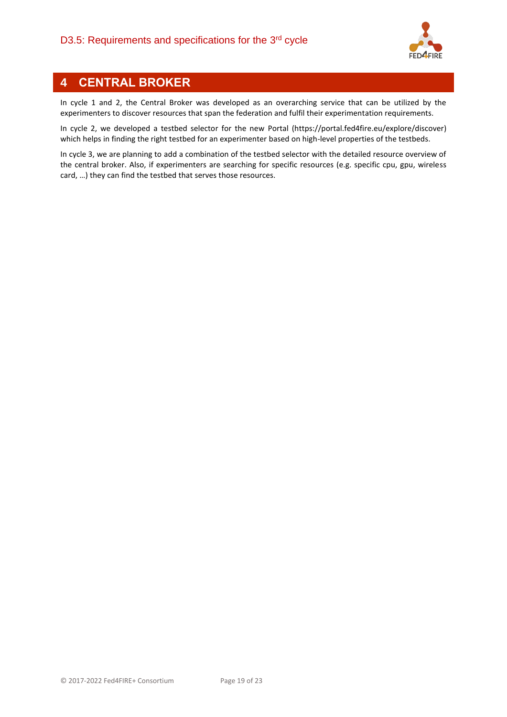

# <span id="page-18-0"></span>**4 CENTRAL BROKER**

In cycle 1 and 2, the Central Broker was developed as an overarching service that can be utilized by the experimenters to discover resources that span the federation and fulfil their experimentation requirements.

In cycle 2, we developed a testbed selector for the new Portal [\(https://portal.fed4fire.eu/explore/discover\)](https://portal.fed4fire.eu/explore/discover) which helps in finding the right testbed for an experimenter based on high-level properties of the testbeds.

In cycle 3, we are planning to add a combination of the testbed selector with the detailed resource overview of the central broker. Also, if experimenters are searching for specific resources (e.g. specific cpu, gpu, wireless card, …) they can find the testbed that serves those resources.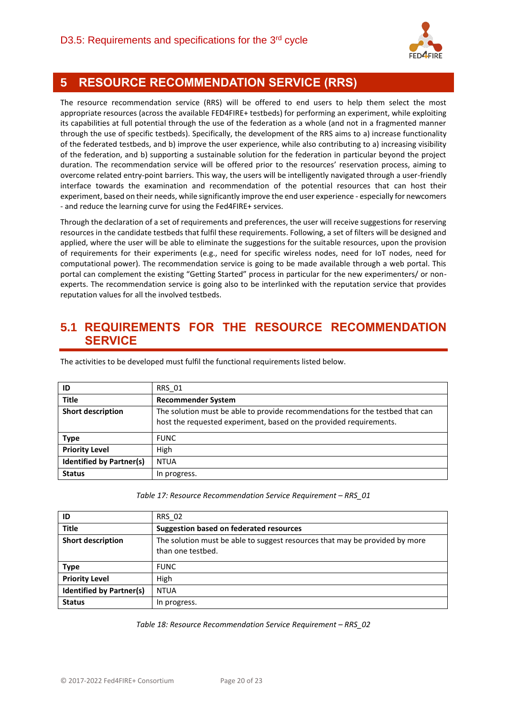

# <span id="page-19-0"></span>**5 RESOURCE RECOMMENDATION SERVICE (RRS)**

The resource recommendation service (RRS) will be offered to end users to help them select the most appropriate resources (across the available FED4FIRE+ testbeds) for performing an experiment, while exploiting its capabilities at full potential through the use of the federation as a whole (and not in a fragmented manner through the use of specific testbeds). Specifically, the development of the RRS aims to a) increase functionality of the federated testbeds, and b) improve the user experience, while also contributing to a) increasing visibility of the federation, and b) supporting a sustainable solution for the federation in particular beyond the project duration. The recommendation service will be offered prior to the resources' reservation process, aiming to overcome related entry-point barriers. This way, the users will be intelligently navigated through a user-friendly interface towards the examination and recommendation of the potential resources that can host their experiment, based on their needs, while significantly improve the end user experience - especially for newcomers - and reduce the learning curve for using the Fed4FIRE+ services.

Through the declaration of a set of requirements and preferences, the user will receive suggestions for reserving resources in the candidate testbeds that fulfil these requirements. Following, a set of filters will be designed and applied, where the user will be able to eliminate the suggestions for the suitable resources, upon the provision of requirements for their experiments (e.g., need for specific wireless nodes, need for IoT nodes, need for computational power). The recommendation service is going to be made available through a web portal. This portal can complement the existing "Getting Started" process in particular for the new experimenters/ or nonexperts. The recommendation service is going also to be interlinked with the reputation service that provides reputation values for all the involved testbeds.

# <span id="page-19-1"></span>**5.1 REQUIREMENTS FOR THE RESOURCE RECOMMENDATION SERVICE**

| ID                              | <b>RRS 01</b>                                                                                                                                       |
|---------------------------------|-----------------------------------------------------------------------------------------------------------------------------------------------------|
| <b>Title</b>                    | <b>Recommender System</b>                                                                                                                           |
| <b>Short description</b>        | The solution must be able to provide recommendations for the testbed that can<br>host the requested experiment, based on the provided requirements. |
| <b>Type</b>                     | <b>FUNC</b>                                                                                                                                         |
| <b>Priority Level</b>           | High                                                                                                                                                |
| <b>Identified by Partner(s)</b> | <b>NTUA</b>                                                                                                                                         |
| <b>Status</b>                   | In progress.                                                                                                                                        |

The activities to be developed must fulfil the functional requirements listed below.

*Table 17: Resource Recommendation Service Requirement – RRS\_01*

<span id="page-19-2"></span>

| ID                              | <b>RRS 02</b>                                                                                    |
|---------------------------------|--------------------------------------------------------------------------------------------------|
| <b>Title</b>                    | <b>Suggestion based on federated resources</b>                                                   |
| <b>Short description</b>        | The solution must be able to suggest resources that may be provided by more<br>than one testbed. |
| <b>Type</b>                     | <b>FUNC</b>                                                                                      |
| <b>Priority Level</b>           | High                                                                                             |
| <b>Identified by Partner(s)</b> | <b>NTUA</b>                                                                                      |
| <b>Status</b>                   | In progress.                                                                                     |

<span id="page-19-3"></span>*Table 18: Resource Recommendation Service Requirement – RRS\_02*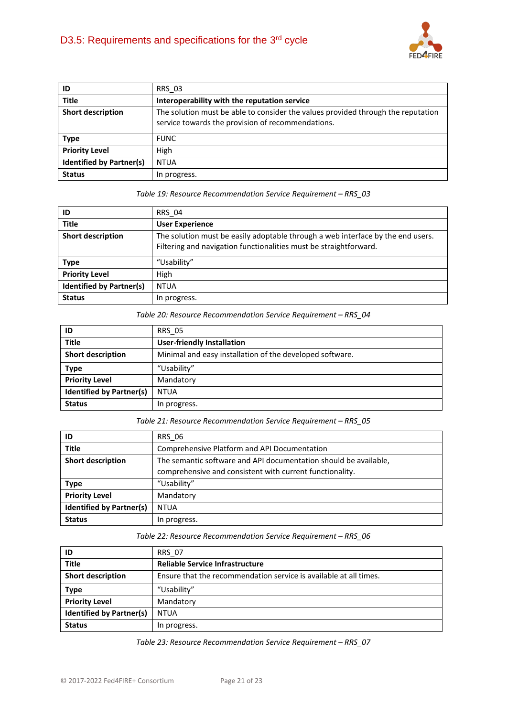| ID                              | <b>RRS 03</b>                                                                                                                         |
|---------------------------------|---------------------------------------------------------------------------------------------------------------------------------------|
| <b>Title</b>                    | Interoperability with the reputation service                                                                                          |
| <b>Short description</b>        | The solution must be able to consider the values provided through the reputation<br>service towards the provision of recommendations. |
| Type                            | <b>FUNC</b>                                                                                                                           |
| <b>Priority Level</b>           | High                                                                                                                                  |
| <b>Identified by Partner(s)</b> | <b>NTUA</b>                                                                                                                           |
| <b>Status</b>                   | In progress.                                                                                                                          |

*Table 19: Resource Recommendation Service Requirement – RRS\_03*

<span id="page-20-0"></span>

| ID                              | <b>RRS 04</b>                                                                                                                                        |
|---------------------------------|------------------------------------------------------------------------------------------------------------------------------------------------------|
| Title                           | <b>User Experience</b>                                                                                                                               |
| <b>Short description</b>        | The solution must be easily adoptable through a web interface by the end users.<br>Filtering and navigation functionalities must be straightforward. |
| <b>Type</b>                     | "Usability"                                                                                                                                          |
| <b>Priority Level</b>           | High                                                                                                                                                 |
| <b>Identified by Partner(s)</b> | <b>NTUA</b>                                                                                                                                          |
| <b>Status</b>                   | In progress.                                                                                                                                         |

*Table 20: Resource Recommendation Service Requirement – RRS\_04*

<span id="page-20-1"></span>

| ID                              | <b>RRS 05</b>                                            |
|---------------------------------|----------------------------------------------------------|
| <b>Title</b>                    | <b>User-friendly Installation</b>                        |
| <b>Short description</b>        | Minimal and easy installation of the developed software. |
| <b>Type</b>                     | "Usability"                                              |
| <b>Priority Level</b>           | Mandatory                                                |
| <b>Identified by Partner(s)</b> | <b>NTUA</b>                                              |
| <b>Status</b>                   | In progress.                                             |

*Table 21: Resource Recommendation Service Requirement – RRS\_05*

<span id="page-20-2"></span>

| ID                              | <b>RRS 06</b>                                                    |
|---------------------------------|------------------------------------------------------------------|
| <b>Title</b>                    | Comprehensive Platform and API Documentation                     |
| <b>Short description</b>        | The semantic software and API documentation should be available, |
|                                 | comprehensive and consistent with current functionality.         |
| <b>Type</b>                     | "Usability"                                                      |
| <b>Priority Level</b>           | Mandatory                                                        |
| <b>Identified by Partner(s)</b> | <b>NTUA</b>                                                      |
| <b>Status</b>                   | In progress.                                                     |

*Table 22: Resource Recommendation Service Requirement – RRS\_06*

<span id="page-20-3"></span>

| ID                              | <b>RRS 07</b>                                                     |
|---------------------------------|-------------------------------------------------------------------|
| <b>Title</b>                    | <b>Reliable Service Infrastructure</b>                            |
| <b>Short description</b>        | Ensure that the recommendation service is available at all times. |
| <b>Type</b>                     | "Usability"                                                       |
| <b>Priority Level</b>           | Mandatory                                                         |
| <b>Identified by Partner(s)</b> | <b>NTUA</b>                                                       |
| <b>Status</b>                   | In progress.                                                      |

<span id="page-20-4"></span>*Table 23: Resource Recommendation Service Requirement – RRS\_07*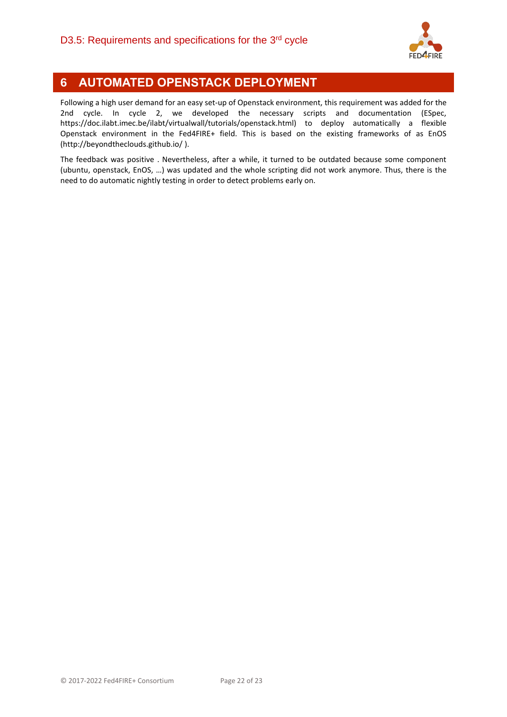

# <span id="page-21-0"></span>**6 AUTOMATED OPENSTACK DEPLOYMENT**

Following a high user demand for an easy set-up of Openstack environment, this requirement was added for the 2nd cycle. In cycle 2, we developed the necessary scripts and documentation (ESpec, https://doc.ilabt.imec.be/ilabt/virtualwall/tutorials/openstack.html) to deploy automatically a flexible Openstack environment in the Fed4FIRE+ field. This is based on the existing frameworks of as EnOS [\(http://beyondtheclouds.github.io/](http://beyondtheclouds.github.io/) ).

The feedback was positive . Nevertheless, after a while, it turned to be outdated because some component (ubuntu, openstack, EnOS, …) was updated and the whole scripting did not work anymore. Thus, there is the need to do automatic nightly testing in order to detect problems early on.